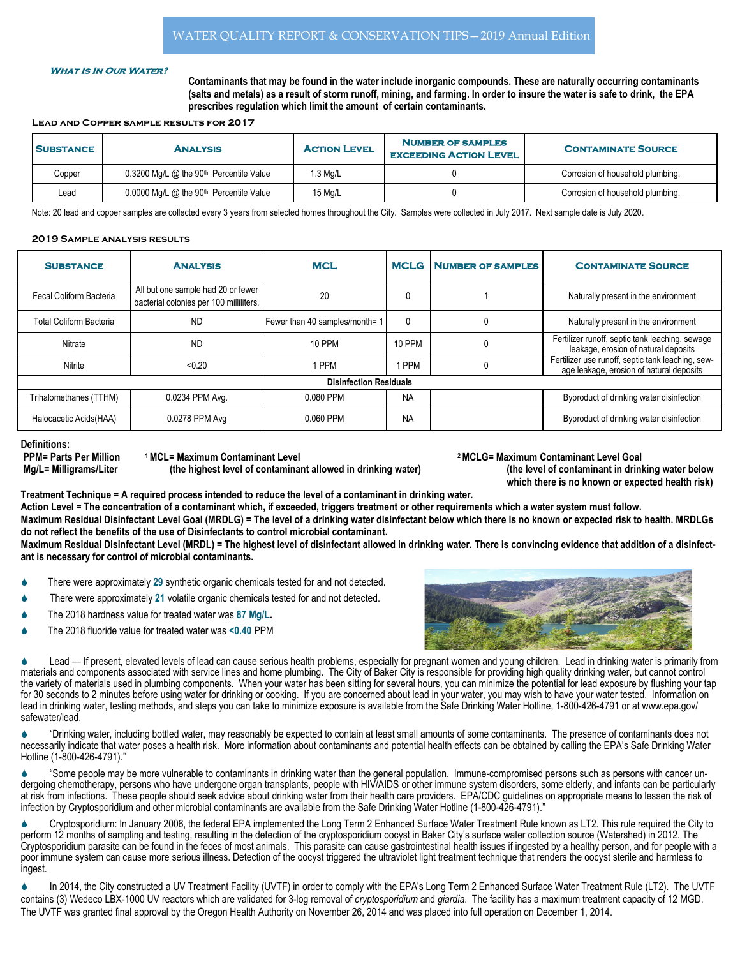## **WHAT IS IN OUR WATER?**

Contaminants that may be found in the water include inorganic compounds. These are naturally occurring contaminants (salts and metals) as a result of storm runoff, mining, and farming. In order to insure the water is safe to drink, the EPA prescribes regulation which limit the amount of certain contaminants.

## Lead and Copper sample results for 2017

| <b>SUBSTANCE</b> | <b>ANALYSIS</b>                                       | <b>ACTION LEVEL</b> | <b>NUMBER OF SAMPLES</b><br><b>EXCEEDING ACTION LEVEL</b> | <b>CONTAMINATE SOURCE</b>        |
|------------------|-------------------------------------------------------|---------------------|-----------------------------------------------------------|----------------------------------|
| Copper           | $0.3200$ Mg/L @ the 90 <sup>th</sup> Percentile Value | $1.3$ Mg/L          |                                                           | Corrosion of household plumbing. |
| Lead             | $0.0000$ Mg/L @ the 90 <sup>th</sup> Percentile Value | 15 Mg/L             |                                                           | Corrosion of household plumbing. |

Note: 20 lead and copper samples are collected every 3 years from selected homes throughout the City. Samples were collected in July 2017. Next sample date is July 2020.

## 2019 Sample analysis results

| <b>SUBSTANCE</b>              | <b>ANALYSIS</b>                                                               | <b>MCL</b>                     | <b>MCLG</b> | <b>NUMBER OF SAMPLES</b> | <b>CONTAMINATE SOURCE</b>                                                                     |  |  |  |
|-------------------------------|-------------------------------------------------------------------------------|--------------------------------|-------------|--------------------------|-----------------------------------------------------------------------------------------------|--|--|--|
| Fecal Coliform Bacteria       | All but one sample had 20 or fewer<br>bacterial colonies per 100 milliliters. | 20                             | 0           |                          | Naturally present in the environment                                                          |  |  |  |
| Total Coliform Bacteria       | <b>ND</b>                                                                     | Fewer than 40 samples/month= 1 | 0           | 0                        | Naturally present in the environment                                                          |  |  |  |
| Nitrate                       | <b>ND</b>                                                                     | 10 PPM                         | 10 PPM      | 0                        | Fertilizer runoff, septic tank leaching, sewage<br>leakage, erosion of natural deposits       |  |  |  |
| Nitrite                       | < 0.20                                                                        | I PPM                          | <b>PPM</b>  | 0                        | Fertilizer use runoff, septic tank leaching, sew-<br>age leakage, erosion of natural deposits |  |  |  |
| <b>Disinfection Residuals</b> |                                                                               |                                |             |                          |                                                                                               |  |  |  |
| Trihalomethanes (TTHM)        | 0.0234 PPM Avg.                                                               | 0.080 PPM                      | <b>NA</b>   |                          | Byproduct of drinking water disinfection                                                      |  |  |  |
| Halocacetic Acids (HAA)       | 0.0278 PPM Avg                                                                | 0.060 PPM                      | <b>NA</b>   |                          | Byproduct of drinking water disinfection                                                      |  |  |  |

Definitions:

PPM= Parts Per Million 1MCL= Maximum Contaminant Level 2 MCLG= Maximum Contaminant Level Goal Mg/L= Milligrams/Liter (the highest level of contaminant allowed in drinking water) (the level of contaminant in drinking water below

which there is no known or expected health risk)

Treatment Technique = A required process intended to reduce the level of a contaminant in drinking water.

Action Level = The concentration of a contaminant which, if exceeded, triggers treatment or other requirements which a water system must follow. Maximum Residual Disinfectant Level Goal (MRDLG) = The level of a drinking water disinfectant below which there is no known or expected risk to health. MRDLGs do not reflect the benefits of the use of Disinfectants to control microbial contaminant.

Maximum Residual Disinfectant Level (MRDL) = The highest level of disinfectant allowed in drinking water. There is convincing evidence that addition of a disinfectant is necessary for control of microbial contaminants.

- There were approximately 29 synthetic organic chemicals tested for and not detected.
- There were approximately 21 volatile organic chemicals tested for and not detected.
- The 2018 hardness value for treated water was 87 Mg/L.
- The 2018 fluoride value for treated water was <0.40 PPM



Lead — If present, elevated levels of lead can cause serious health problems, especially for pregnant women and young children. Lead in drinking water is primarily from materials and components associated with service lines and home plumbing. The City of Baker City is responsible for providing high quality drinking water, but cannot control the variety of materials used in plumbing components. When your water has been sitting for several hours, you can minimize the potential for lead exposure by flushing your tap for 30 seconds to 2 minutes before using water for drinking or cooking. If you are concerned about lead in your water, you may wish to have your water tested. Information on lead in drinking water, testing methods, and steps you can take to minimize exposure is available from the Safe Drinking Water Hotline, 1-800-426-4791 or at www.epa.gov/ safewater/lead.

"Drinking water, including bottled water, may reasonably be expected to contain at least small amounts of some contaminants. The presence of contaminants does not necessarily indicate that water poses a health risk. More information about contaminants and potential health effects can be obtained by calling the EPA's Safe Drinking Water Hotline (1-800-426-4791)."

S "Some people may be more vulnerable to contaminants in drinking water than the general population. Immune-compromised persons such as persons with cancer undergoing chemotherapy, persons who have undergone organ transplants, people with HIV/AIDS or other immune system disorders, some elderly, and infants can be particularly at risk from infections. These people should seek advice about drinking water from their health care providers. EPA/CDC guidelines on appropriate means to lessen the risk of infection by Cryptosporidium and other microbial contaminants are available from the Safe Drinking Water Hotline (1-800-426-4791)."

Cryptosporidium: In January 2006, the federal EPA implemented the Long Term 2 Enhanced Surface Water Treatment Rule known as LT2. This rule required the City to perform 12 months of sampling and testing, resulting in the detection of the cryptosporidium oocyst in Baker City's surface water collection source (Watershed) in 2012. The Cryptosporidium parasite can be found in the feces of most animals. This parasite can cause gastrointestinal health issues if ingested by a healthy person, and for people with a poor immune system can cause more serious illness. Detection of the oocyst triggered the ultraviolet light treatment technique that renders the oocyst sterile and harmless to ingest.

In 2014, the City constructed a UV Treatment Facility (UVTF) in order to comply with the EPA's Long Term 2 Enhanced Surface Water Treatment Rule (LT2). The UVTF contains (3) Wedeco LBX-1000 UV reactors which are validated for 3-log removal of *cryptosporidium* and giardia. The facility has a maximum treatment capacity of 12 MGD. The UVTF was granted final approval by the Oregon Health Authority on November 26, 2014 and was placed into full operation on December 1, 2014.